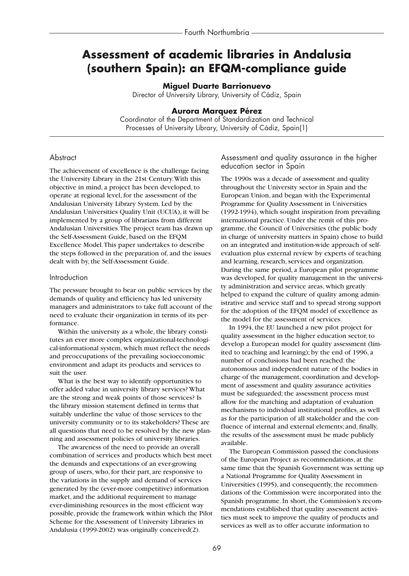# **Assessment of academic libraries in Andalusia (southern Spain): an EFQM-compliance guide**

#### **Miguel Duarte Barrionuevo**

Director of University Library, University of Cádiz, Spain

#### **Aurora Marquez Pérez**

Coordinator of the Department of Standardization and Technical Processes of University Library, University of Cádiz, Spain(1)

#### **Abstract**

The achievement of excellence is the challenge facing the University Library in the 21st Century.With this objective in mind, a project has been developed, to operate at regional level, for the assessment of the Andalusian University Library System. Led by the Andalusian Universities Quality Unit (UCUA), it will be implemented by a group of librarians from different Andalusian Universities.The project team has drawn up the Self-Assessment Guide, based on the EFQM Excellence Model.This paper undertakes to describe the steps followed in the preparation of, and the issues dealt with by, the Self-Assessment Guide.

#### **Introduction**

The pressure brought to bear on public services by the demands of quality and efficiency has led university managers and administrators to take full account of the need to evaluate their organization in terms of its performance.

Within the university as a whole, the library constitutes an ever more complex organizational-technological-informational system, which must reflect the needs and preoccupations of the prevailing socioeconomic environment and adapt its products and services to suit the user.

What is the best way to identify opportunities to offer added value in university library services? What are the strong and weak points of those services? Is the library mission statement defined in terms that suitably underline the value of those services to the university community or to its stakeholders? These are all questions that need to be resolved by the new planning and assessment policies of university libraries.

The awareness of the need to provide an overall combination of services and products which best meet the demands and expectations of an ever-growing group of users, who, for their part, are responsive to the variations in the supply and demand of services generated by the (ever-more competitive) information market, and the additional requirement to manage ever-diminishing resources in the most efficient way possible, provide the framework within which the Pilot Scheme for the Assessment of University Libraries in Andalusia (1999-2002) was originally conceived(2).

Assessment and quality assurance in the higher education sector in Spain

The 1990s was a decade of assessment and quality throughout the University sector in Spain and the European Union, and began with the Experimental Programme for Quality Assessment in Universities (1992-1994), which sought inspiration from prevailing international practice. Under the remit of this programme, the Council of Universities (the public body in charge of university matters in Spain) chose to build on an integrated and institution-wide approach of selfevaluation plus external review by experts of teaching and learning, research, services and organization. During the same period, a European pilot programme was developed, for quality management in the university administration and service areas, which greatly helped to expand the culture of quality among administrative and service staff and to spread strong support for the adoption of the EFQM model of excellence as the model for the assessment of services.

In 1994, the EU launched a new pilot project for quality assessment in the higher education sector, to develop a European model for quality assessment (limited to teaching and learning); by the end of 1996, a number of conclusions had been reached: the autonomous and independent nature of the bodies in charge of the management, coordination and development of assessment and quality assurance activities must be safeguarded; the assessment process must allow for the matching and adaptation of evaluation mechanisms to individual institutional profiles, as well as for the participation of all stakeholder and the confluence of internal and external elements; and, finally, the results of the assessment must be made publicly available.

The European Commission passed the conclusions of the European Project as recommendations, at the same time that the Spanish Government was setting up a National Programme for Quality Assessment in Universities (1995), and consequently, the recommendations of the Commission were incorporated into the Spanish programme. In short, the Commission's recommendations established that quality assessment activities must seek to improve the quality of products and services as well as to offer accurate information to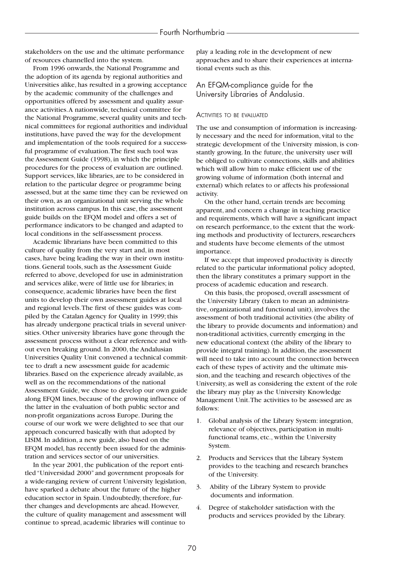stakeholders on the use and the ultimate performance of resources channelled into the system.

From 1996 onwards, the National Programme and the adoption of its agenda by regional authorities and Universities alike, has resulted in a growing acceptance by the academic community of the challenges and opportunities offered by assessment and quality assurance activities.A nationwide, technical committee for the National Programme, several quality units and technical committees for regional authorities and individual institutions, have paved the way for the development and implementation of the tools required for a successful programme of evaluation.The first such tool was the Assessment Guide (1998), in which the principle procedures for the process of evaluation are outlined. Support services, like libraries, are to be considered in relation to the particular degree or programme being assessed, but at the same time they can be reviewed on their own, as an organizational unit serving the whole institution across campus. In this case, the assessment guide builds on the EFQM model and offers a set of performance indicators to be changed and adapted to local conditions in the self-assessment process.

Academic librarians have been committed to this culture of quality from the very start and, in most cases, have being leading the way in their own institutions. General tools, such as the Assessment Guide referred to above, developed for use in administration and services alike, were of little use for libraries; in consequence, academic libraries have been the first units to develop their own assessment guides at local and regional levels.The first of these guides was compiled by the Catalan Agency for Quality in 1999; this has already undergone practical trials in several universities. Other university libraries have gone through the assessment process without a clear reference and without even breaking ground. In 2000, the Andalusian Universities Quality Unit convened a technical committee to draft a new assessment guide for academic libraries. Based on the experience already available, as well as on the recommendations of the national Assessment Guide, we chose to develop our own guide along EFQM lines, because of the growing influence of the latter in the evaluation of both public sector and non-profit organizations across Europe. During the course of our work we were delighted to see that our approach concurred basically with that adopted by LISIM. In addition, a new guide, also based on the EFQM model, has recently been issued for the administration and services sector of our universities.

In the year 2001, the publication of the report entitled "Universidad 2000" and government proposals for a wide-ranging review of current University legislation, have sparked a debate about the future of the higher education sector in Spain. Undoubtedly, therefore, further changes and developments are ahead. However, the culture of quality management and assessment will continue to spread, academic libraries will continue to

play a leading role in the development of new approaches and to share their experiences at international events such as this.

### An EFQM-compliance guide for the University Libraries of Andalusia.

#### ACTIVITIES TO BE EVALUATED

The use and consumption of information is increasingly necessary and the need for information, vital to the strategic development of the University mission, is constantly growing. In the future, the university user will be obliged to cultivate connections, skills and abilities which will allow him to make efficient use of the growing volume of information (both internal and external) which relates to or affects his professional activity.

On the other hand, certain trends are becoming apparent, and concern a change in teaching practice and requirements, which will have a significant impact on research performance, to the extent that the working methods and productivity of lecturers, researchers and students have become elements of the utmost importance.

If we accept that improved productivity is directly related to the particular informational policy adopted, then the library constitutes a primary support in the process of academic education and research.

On this basis, the proposed, overall assessment of the University Library (taken to mean an administrative, organizational and functional unit), involves the assessment of both traditional activities (the ability of the library to provide documents and information) and non-traditional activities, currently emerging in the new educational context (the ability of the library to provide integral training). In addition, the assessment will need to take into account the connection between each of these types of activity and the ultimate mission, and the teaching and research objectives of the University, as well as considering the extent of the role the library may play as the University Knowledge Management Unit.The activities to be assessed are as follows:

- 1. Global analysis of the Library System: integration, relevance of objectives, participation in multifunctional teams, etc., within the University System.
- 2. Products and Services that the Library System provides to the teaching and research branches of the University.
- 3. Ability of the Library System to provide documents and information.
- 4. Degree of stakeholder satisfaction with the products and services provided by the Library.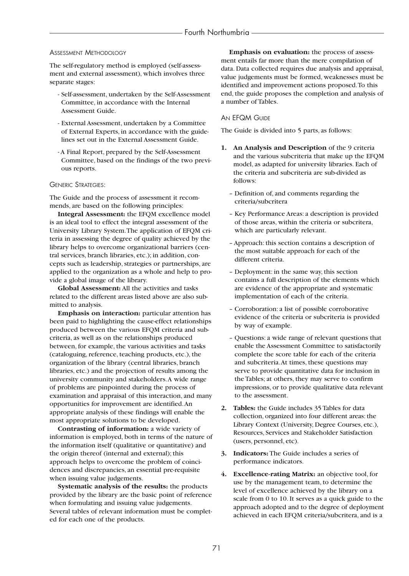#### ASSESSMENT METHODOLOGY

The self-regulatory method is employed (self-assessment and external assessment), which involves three separate stages:

- Self-assessment, undertaken by the Self-Assessment Committee, in accordance with the Internal Assessment Guide.
- External Assessment, undertaken by a Committee of External Experts, in accordance with the guidelines set out in the External Assessment Guide.
- A Final Report, prepared by the Self-Assessment Committee, based on the findings of the two previous reports.

#### GENERIC STRATEGIES:

The Guide and the process of assessment it recommends, are based on the following principles:

**Integral Assessment:** the EFQM excellence model is an ideal tool to effect the integral assessment of the University Library System.The application of EFQM criteria in assessing the degree of quality achieved by the library helps to overcome organizational barriers (central services, branch libraries, etc.); in addition, concepts such as leadership, strategies or partnerships, are applied to the organization as a whole and help to provide a global image of the library.

**Global Assessment:** All the activities and tasks related to the different areas listed above are also submitted to analysis.

**Emphasis on interaction:** particular attention has been paid to highlighting the cause-effect relationships produced between the various EFQM criteria and subcriteria, as well as on the relationships produced between, for example, the various activities and tasks (cataloguing, reference, teaching products, etc.), the organization of the library (central libraries, branch libraries, etc.) and the projection of results among the university community and stakeholders.A wide range of problems are pinpointed during the process of examination and appraisal of this interaction, and many opportunities for improvement are identified.An appropriate analysis of these findings will enable the most appropriate solutions to be developed.

**Contrasting of information:** a wide variety of information is employed, both in terms of the nature of the information itself (qualitative or quantitative) and the origin thereof (internal and external); this approach helps to overcome the problem of coincidences and discrepancies, an essential pre-requisite when issuing value judgements.

**Systematic analysis of the results:** the products provided by the library are the basic point of reference when formulating and issuing value judgements. Several tables of relevant information must be completed for each one of the products.

**Emphasis on evaluation:** the process of assessment entails far more than the mere compilation of data. Data collected requires due analysis and appraisal, value judgements must be formed, weaknesses must be identified and improvement actions proposed.To this end, the guide proposes the completion and analysis of a number of Tables.

#### AN EFQM GUIDE

The Guide is divided into 5 parts, as follows:

- **1. An Analysis and Description** of the 9 criteria and the various subcriteria that make up the EFQM model, as adapted for university libraries. Each of the criteria and subcriteria are sub-divided as follows:
	- Definition of, and comments regarding the criteria/subcritera
	- Key Performance Areas: a description is provided of those areas, within the criteria or subcritera, which are particularly relevant.
	- Approach: this section contains a description of the most suitable approach for each of the different criteria.
	- Deployment: in the same way, this section contains a full description of the elements which are evidence of the appropriate and systematic implementation of each of the criteria.
	- Corroboration: a list of possible corroborative evidence of the criteria or subcriteria is provided by way of example.
	- Questions: a wide range of relevant questions that enable the Assessment Committee to satisfactorily complete the score table for each of the criteria and subcriteria.At times, these questions may serve to provide quantitative data for inclusion in the Tables; at others, they may serve to confirm impressions, or to provide qualitative data relevant to the assessment.
- **2. Tables:** the Guide includes 35 Tables for data collection, organized into four different areas: the Library Context (University, Degree Courses, etc.), Resources, Services and Stakeholder Satisfaction (users, personnel, etc).
- **3. Indicators:** The Guide includes a series of performance indicators.
- **4. Excellence-rating Matrix:** an objective tool, for use by the management team, to determine the level of excellence achieved by the library on a scale from 0 to 10. It serves as a quick guide to the approach adopted and to the degree of deployment achieved in each EFQM criteria/subcritera, and is a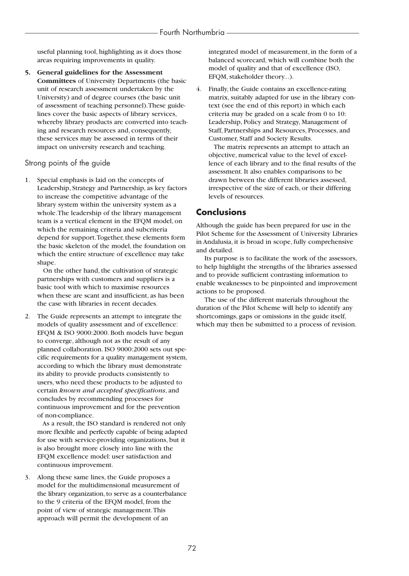useful planning tool, highlighting as it does those areas requiring improvements in quality.

**5. General guidelines for the Assessment Committees** of University Departments (the basic unit of research assessment undertaken by the University) and of degree courses (the basic unit of assessment of teaching personnel).These guidelines cover the basic aspects of library services, whereby library products are converted into teaching and research resources and, consequently, these services may be assessed in terms of their impact on university research and teaching.

### Strong points of the guide

Special emphasis is laid on the concepts of Leadership, Strategy and Partnership, as key factors to increase the competitive advantage of the library system within the university system as a whole.The leadership of the library management team is a vertical element in the EFQM model, on which the remaining criteria and subcriteria depend for support.Together, these elements form the basic skeleton of the model, the foundation on which the entire structure of excellence may take shape.

On the other hand, the cultivation of strategic partnerships with customers and suppliers is a basic tool with which to maximise resources when these are scant and insufficient, as has been the case with libraries in recent decades.

2. The Guide represents an attempt to integrate the models of quality assessment and of excellence: EFQM & ISO 9000:2000. Both models have begun to converge, although not as the result of any planned collaboration. ISO 9000:2000 sets out specific requirements for a quality management system, according to which the library must demonstrate its ability to provide products consistently to users, who need these products to be adjusted to certain *known and accepted specifications*, and concludes by recommending processes for continuous improvement and for the prevention of non-compliance.

As a result, the ISO standard is rendered not only more flexible and perfectly capable of being adapted for use with service-providing organizations, but it is also brought more closely into line with the EFQM excellence model: user satisfaction and continuous improvement.

3. Along these same lines, the Guide proposes a model for the multidimensional measurement of the library organization, to serve as a counterbalance to the 9 criteria of the EFQM model, from the point of view of strategic management.This approach will permit the development of an

integrated model of measurement, in the form of a balanced scorecard, which will combine both the model of quality and that of excellence (ISO, EFQM, stakeholder theory...).

4. Finally, the Guide contains an excellence-rating matrix, suitably adapted for use in the library context (see the end of this report) in which each criteria may be graded on a scale from 0 to 10: Leadership, Policy and Strategy, Management of Staff, Partnerships and Resources, Processes, and Customer, Staff and Society Results.

The matrix represents an attempt to attach an objective, numerical value to the level of excellence of each library and to the final results of the assessment. It also enables comparisons to be drawn between the different libraries assessed, irrespective of the size of each, or their differing levels of resources.

# **Conclusions**

Although the guide has been prepared for use in the Pilot Scheme for the Assessment of University Libraries in Andalusia, it is broad in scope, fully comprehensive and detailed.

Its purpose is to facilitate the work of the assessors, to help highlight the strengths of the libraries assessed and to provide sufficient contrasting information to enable weaknesses to be pinpointed and improvement actions to be proposed.

The use of the different materials throughout the duration of the Pilot Scheme will help to identify any shortcomings, gaps or omissions in the guide itself, which may then be submitted to a process of revision.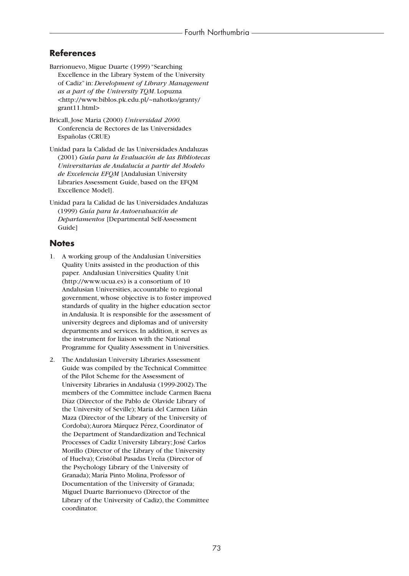## **References**

- Barrionuevo, Migue Duarte (1999) "Searching Excellence in the Library System of the University of Cadiz" in: *Development of Library Management as a part of the University TQM*. Lopuzna <http://www.biblos.pk.edu.pl/~nahotko/granty/ grant11.html>
- Bricall, Jose Maria (2000) *Universidad 2000.* Conferencia de Rectores de las Universidades Españolas (CRUE)
- Unidad para la Calidad de las Universidades Andaluzas (2001) *Guía para la Evaluación de las Bibliotecas Universitarias de Andalucía a partir del Modelo de Excelencia EFQM* [Andalusian University Libraries Assessment Guide, based on the EFQM Excellence Model].
- Unidad para la Calidad de las Universidades Andaluzas (1999) *Guía para la Autoevaluación de Departamentos* [Departmental Self-Assessment Guide]

### **Notes**

- 1. A working group of the Andalusian Universities Quality Units assisted in the production of this paper. Andalusian Universities Quality Unit (http://www.ucua.es) is a consortium of 10 Andalusian Universities, accountable to regional government, whose objective is to foster improved standards of quality in the higher education sector in Andalusia. It is responsible for the assessment of university degrees and diplomas and of university departments and services. In addition, it serves as the instrument for liaison with the National Programme for Quality Assessment in Universities.
- 2. The Andalusian University Libraries Assessment Guide was compiled by the Technical Committee of the Pilot Scheme for the Assessment of University Libraries in Andalusia (1999-2002).The members of the Committee include Carmen Baena Díaz (Director of the Pablo de Olavide Library of the University of Seville); Maria del Carmen Liñán Maza (Director of the Library of the University of Cordoba);Aurora Márquez Pérez, Coordinator of the Department of Standardization and Technical Processes of Cadiz University Library; José Carlos Morillo (Director of the Library of the University of Huelva); Cristóbal Pasadas Ureña (Director of the Psychology Library of the University of Granada); María Pinto Molina, Professor of Documentation of the University of Granada; Miguel Duarte Barrionuevo (Director of the Library of the University of Cadiz), the Committee coordinator.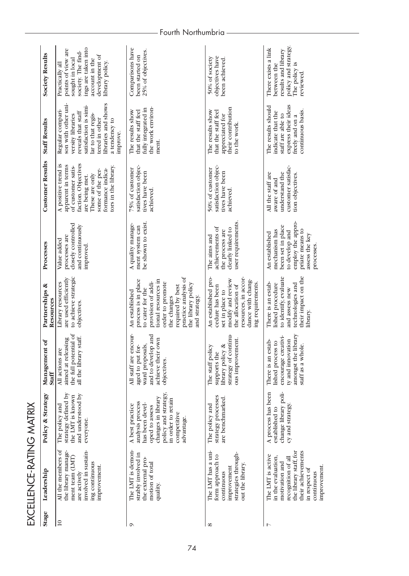| Stage           | Leadership                                                                                                                                                                     | Policy & Strategy                                                                                                                                                         | Management of<br><b>Staff</b>                                                                                                   | Partnerships &<br>Resources                                                                                                                                                                                                  | Processes                                                                                                                                      | <b>Customer Results</b>                                                                                                                                                                  | <b>Staff Results</b>                                                                                                                                                                                    | <b>Society Results</b>                                                                                                                                       |
|-----------------|--------------------------------------------------------------------------------------------------------------------------------------------------------------------------------|---------------------------------------------------------------------------------------------------------------------------------------------------------------------------|---------------------------------------------------------------------------------------------------------------------------------|------------------------------------------------------------------------------------------------------------------------------------------------------------------------------------------------------------------------------|------------------------------------------------------------------------------------------------------------------------------------------------|------------------------------------------------------------------------------------------------------------------------------------------------------------------------------------------|---------------------------------------------------------------------------------------------------------------------------------------------------------------------------------------------------------|--------------------------------------------------------------------------------------------------------------------------------------------------------------|
| $\overline{10}$ | All the members of<br>involved in sustain-<br>the library manage-<br>ment team (LMT)<br>ing continuous<br>improvement.<br>are actively                                         | strategy defined by<br>and understood by<br>the LMT is known<br>The policy and<br>everyone.                                                                               | the full potential of<br>all the library staff.<br>aimed at releasing<br>All actions are                                        | to achieve strategic<br>are used efficiently<br>Library resources<br>objectives.                                                                                                                                             | closely controlled<br>and continuously<br>processes are<br>Value added<br>improved.                                                            | faction. Objectives<br>A positive trend is<br>apparent in terms<br>of customer satis-<br>tors in the library<br>formance indica-<br>some of the per-<br>These are only<br>are being met. | libraries and shows<br>son with other uni-<br>satisfaction is simi-<br>Regular compari-<br>reveals that staff<br>lar to that regis-<br>versity libraries<br>tered in other<br>a tendency to<br>improve. | ings are taken into<br>points of view are<br>society. The find-<br>development of<br>sought in local<br>account in the<br>library policy.<br>Practically all |
|                 | The LMT is demon-<br>strably involved in<br>the external pro-<br>motion of total<br>quality                                                                                    | policy and strategy,<br>changes in library<br>in order to retain<br>analysis process<br>has been devel-<br>A best practice<br>oped to assess<br>competitive<br>advantage. | All staff are encour-<br>and to develop and<br>own<br>ward proposals,<br>aged to put for-<br>achieve their<br>objectives.       | practice analysis of<br>process is in place<br>tional resources in<br>provision of addi-<br>order to promote<br>the library policy<br>required by best<br>to cater for the<br>An established<br>the changes<br>and strategy. | be shown to exist<br>A quality manage-<br>ment system can                                                                                      | satisfaction objec-<br>75% of customer<br>tives have been<br>achieved.                                                                                                                   | the work environ-<br>fully integrated in<br>The results show<br>that the staff feel<br>ment.                                                                                                            | Comparisons have<br>25% of objectives.<br>been started on                                                                                                    |
|                 | The LMT has a uni-<br>strategies through-<br>form approach to<br>out the library<br>improvement<br>continuous                                                                  | strategy processes<br>are benchmarked.<br>The policy and                                                                                                                  | strategy of continu-<br>ous improvement.<br>library policy &<br>£,<br>The staff poli<br>supports the                            | resources, in accor-<br>An established pro-<br>modify and review<br>dance with chang-<br>ing requirements.<br>the allocation of<br>cedure has been<br>set in place to                                                        | user requirements.<br>achievements of<br>clearly linked to<br>the process are<br>The aims and                                                  | satisfaction objec-<br>50% of customer<br>tives have been<br>achieved.                                                                                                                   | their contribution<br>The results show<br>that the staff feel<br>appreciated for<br>to the work.                                                                                                        | objectives have<br>50% of society<br>been achieved.                                                                                                          |
|                 | the library staff, for<br>their achievements<br>The LMT is active<br>in the evaluation,<br>recognition of all<br>motivation and<br>improvement.<br>in respect of<br>continuous | change library poli-<br>A process has been<br>cy and strategy<br>established to                                                                                           | amongst the library<br>encourage creativi-<br>ty and innovation<br>There is an estab-<br>lished process to<br>staff as a whole. | their impact on the<br>to identify, evaluate<br>There is an estab-<br>lished procedure<br>technologies and<br>and assess new<br>library.                                                                                     | employ the appro-<br>been set in place<br>priate means to<br>mechanism has<br>to develop and<br>An established<br>assess the key<br>processes. | customer satisfac-<br>understand the<br>All the staff are<br>tion objectives.<br>aware of and                                                                                            | express their ideas<br>The results should<br>continuous basis.<br>indicate that the<br>staff are able to<br>freely and on a                                                                             | policy and strategy.<br>There exists a link<br>results and library<br>The policy is<br>between the<br>reviewed                                               |

EXCELLENCE-RATING MATRIX EXCELLENCE-RATING MATRIX

## Fourth Northumbria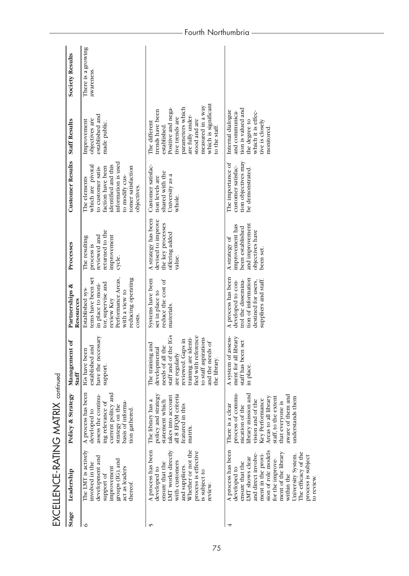| Leadership<br>Stage           | The LMT is actively<br>development and<br>groups (IG), and<br>involved in the<br>improvement<br>act as leaders<br>support of<br>thereof.<br>७                                     | matrix<br>Whether or not the<br>A process has been<br>LMT works directly<br>process is effective<br>with customers<br>ensure that the<br>and suppliers.<br>developed to<br>is subject to<br>review<br>۴                             | A process has been<br>sion of role models<br>ment of the library<br>The efficacy of the<br>and direct involve-<br>ment in the provi-<br>University System.<br>process is subject<br>LMT shows clear<br>for the improve-<br>ensure that the<br>developed to<br>within the |
|-------------------------------|-----------------------------------------------------------------------------------------------------------------------------------------------------------------------------------|-------------------------------------------------------------------------------------------------------------------------------------------------------------------------------------------------------------------------------------|--------------------------------------------------------------------------------------------------------------------------------------------------------------------------------------------------------------------------------------------------------------------------|
| Policy & Strategy             | A process has been<br>current politcy and<br>assess the continu-<br>ing relevance of<br>basis of informa-<br>strategy on the<br>tion gathered<br>developed to                     | policy and strategy<br>all 8 EFQM criteria<br>takes into account<br>statement which<br>The library has a<br>featured in this                                                                                                        | library mission and<br>process of commu-<br>aware of them and<br>Areas to all library<br>staff, to the extent<br>understands them<br>Key Performance<br>vision and of the<br>that everyone is<br>There is a clear<br>nication of the                                     |
| Management of<br><b>Staff</b> | have the necessary<br>established and<br>IGs have been<br>support.                                                                                                                | staff and of the IGs<br>fied with reference<br>training are identi-<br>to staff aspirations<br>reviewed. Gaps in<br>and the needs of<br>The training and<br>I the<br>developmental<br>are regularly<br>needs of all<br>the library. | library<br>assess-<br>staff has been set<br>A system of<br>ment for all<br>in place.                                                                                                                                                                                     |
| Partnerships &<br>Resources   | tems have been set<br>reducing operating<br>Performance Areas,<br>tor, supervise and<br>in place to moni-<br>Established sys-<br>with a view to<br>review Key<br>costs            | Systems have been<br>reduce the cost of<br>set in place to<br>materials.                                                                                                                                                            | A process has been<br>tion of information<br>trol the dissemina-<br>suppliers and staff.<br>destined for users.<br>developed to con-                                                                                                                                     |
| Processes                     | returned to the<br>improvement<br>reviewed and<br>The resulting<br>process is<br>cycle.                                                                                           | A strategy has been<br>devised to improve<br>the key processes<br>offering added<br>value.                                                                                                                                          | and improvement<br>improvement has<br>been established<br>objectives have<br>A strategy of<br>been set                                                                                                                                                                   |
| <b>Customer Results</b>       | information is used<br>identified and this<br>which are pivotal<br>faction have been<br>tomer satisfaction<br>to customer satis-<br>to modify cus-<br>The elements<br>objectives. | Customer satisfac-<br>shared with the<br>University as a<br>tion levels are<br>whole.                                                                                                                                               | tion objectives may<br>The importance of<br>customer satisfac-<br>be demonstrated.                                                                                                                                                                                       |
| <b>Staff Results</b>          | established and<br>objectives are<br>Improvement<br>made public.                                                                                                                  | which is significant<br>measured in a way<br>Positive and nega-<br>parameters which<br>trends have been<br>are fully under-<br>tive trends are<br>stood and are<br>The different<br>established<br>to the staff                     | tion is valued and<br>Internal dialogue<br>and communica-<br>which it is effec-<br>the degree to<br>tive is closely<br>monitored                                                                                                                                         |
| <b>Society Results</b>        | There is a growing<br>awareness                                                                                                                                                   |                                                                                                                                                                                                                                     |                                                                                                                                                                                                                                                                          |

EXCELLENCE-RATING MATRIX continued EXCELLENCE-RATING MATRIX continued

# — Fourth Northumbria -